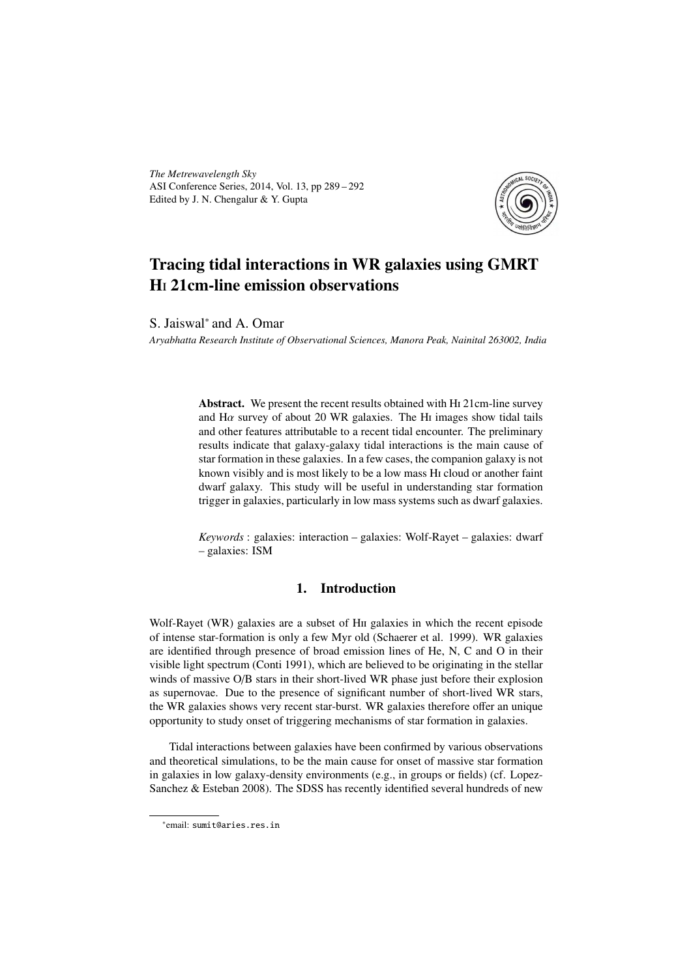*The Metrewavelength Sky* ASI Conference Series, 2014, Vol. 13, pp 289 – 292 Edited by J. N. Chengalur & Y. Gupta



# Tracing tidal interactions in WR galaxies using GMRT H<sub>I</sub> 21cm-line emission observations

S. Jaiswal<sup>∗</sup> and A. Omar

*Aryabhatta Research Institute of Observational Sciences, Manora Peak, Nainital 263002, India*

Abstract. We present the recent results obtained with H<sub>1</sub>21cm-line survey and H $\alpha$  survey of about 20 WR galaxies. The H<sub>I</sub> images show tidal tails and other features attributable to a recent tidal encounter. The preliminary results indicate that galaxy-galaxy tidal interactions is the main cause of star formation in these galaxies. In a few cases, the companion galaxy is not known visibly and is most likely to be a low mass H<sub>I</sub> cloud or another faint dwarf galaxy. This study will be useful in understanding star formation trigger in galaxies, particularly in low mass systems such as dwarf galaxies.

*Keywords* : galaxies: interaction – galaxies: Wolf-Rayet – galaxies: dwarf – galaxies: ISM

## 1. Introduction

Wolf-Rayet (WR) galaxies are a subset of H<sub>II</sub> galaxies in which the recent episode of intense star-formation is only a few Myr old (Schaerer et al. 1999). WR galaxies are identified through presence of broad emission lines of He, N, C and O in their visible light spectrum (Conti 1991), which are believed to be originating in the stellar winds of massive O/B stars in their short-lived WR phase just before their explosion as supernovae. Due to the presence of significant number of short-lived WR stars, the WR galaxies shows very recent star-burst. WR galaxies therefore offer an unique opportunity to study onset of triggering mechanisms of star formation in galaxies.

Tidal interactions between galaxies have been confirmed by various observations and theoretical simulations, to be the main cause for onset of massive star formation in galaxies in low galaxy-density environments (e.g., in groups or fields) (cf. Lopez-Sanchez & Esteban 2008). The SDSS has recently identified several hundreds of new

<sup>∗</sup> email: sumit@aries.res.in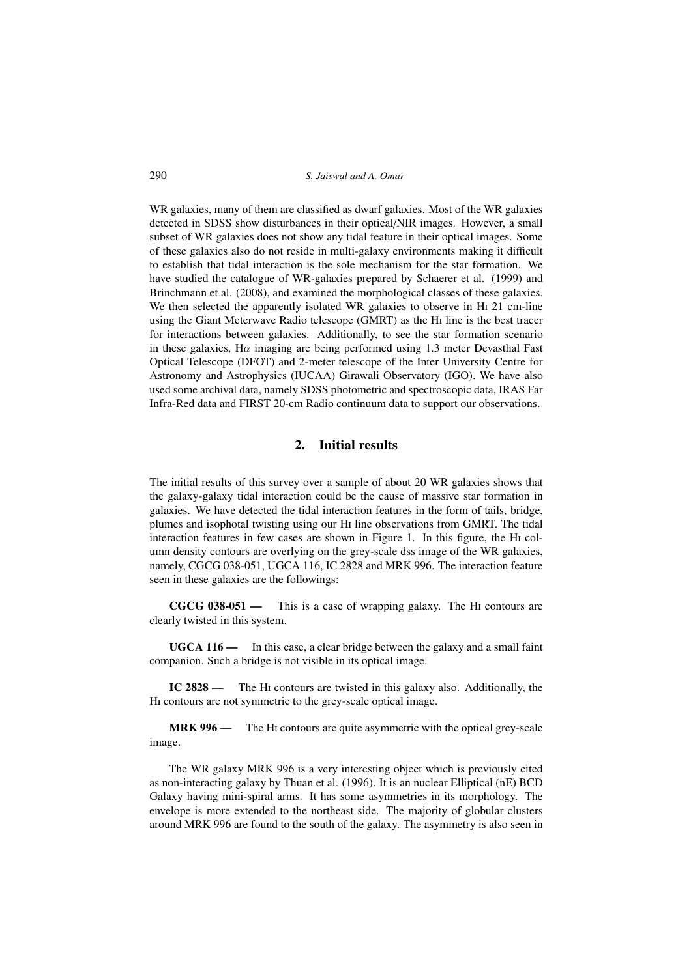WR galaxies, many of them are classified as dwarf galaxies. Most of the WR galaxies detected in SDSS show disturbances in their optical/NIR images. However, a small subset of WR galaxies does not show any tidal feature in their optical images. Some of these galaxies also do not reside in multi-galaxy environments making it difficult to establish that tidal interaction is the sole mechanism for the star formation. We have studied the catalogue of WR-galaxies prepared by Schaerer et al. (1999) and Brinchmann et al. (2008), and examined the morphological classes of these galaxies. We then selected the apparently isolated WR galaxies to observe in H<sub>1</sub> 21 cm-line using the Giant Meterwave Radio telescope (GMRT) as the HI line is the best tracer for interactions between galaxies. Additionally, to see the star formation scenario in these galaxies, H $\alpha$  imaging are being performed using 1.3 meter Devasthal Fast Optical Telescope (DFOT) and 2-meter telescope of the Inter University Centre for Astronomy and Astrophysics (IUCAA) Girawali Observatory (IGO). We have also used some archival data, namely SDSS photometric and spectroscopic data, IRAS Far Infra-Red data and FIRST 20-cm Radio continuum data to support our observations.

### 2. Initial results

The initial results of this survey over a sample of about 20 WR galaxies shows that the galaxy-galaxy tidal interaction could be the cause of massive star formation in galaxies. We have detected the tidal interaction features in the form of tails, bridge, plumes and isophotal twisting using our H<sub>I</sub> line observations from GMRT. The tidal interaction features in few cases are shown in Figure 1. In this figure, the HI column density contours are overlying on the grey-scale dss image of the WR galaxies, namely, CGCG 038-051, UGCA 116, IC 2828 and MRK 996. The interaction feature seen in these galaxies are the followings:

 $CGCG 038-051$  — This is a case of wrapping galaxy. The H<sub>I</sub> contours are clearly twisted in this system.

UGCA 116 — In this case, a clear bridge between the galaxy and a small faint companion. Such a bridge is not visible in its optical image.

IC 2828 — The HI contours are twisted in this galaxy also. Additionally, the HI contours are not symmetric to the grey-scale optical image.

MRK 996 — The H<sub>I</sub> contours are quite asymmetric with the optical grey-scale image.

The WR galaxy MRK 996 is a very interesting object which is previously cited as non-interacting galaxy by Thuan et al. (1996). It is an nuclear Elliptical (nE) BCD Galaxy having mini-spiral arms. It has some asymmetries in its morphology. The envelope is more extended to the northeast side. The majority of globular clusters around MRK 996 are found to the south of the galaxy. The asymmetry is also seen in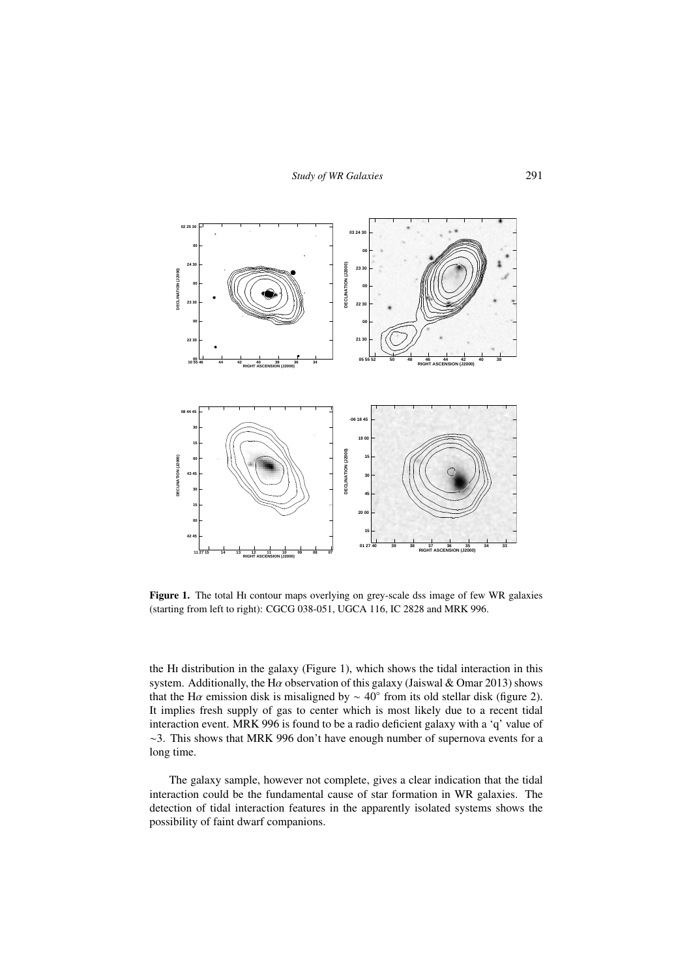

Figure 1. The total H<sub>I</sub> contour maps overlying on grey-scale dss image of few WR galaxies (starting from left to right): CGCG 038-051, UGCA 116, IC 2828 and MRK 996.

the H<sub>I</sub> distribution in the galaxy (Figure 1), which shows the tidal interaction in this system. Additionally, the H $\alpha$  observation of this galaxy (Jaiswal & Omar 2013) shows that the H $\alpha$  emission disk is misaligned by  $\sim 40^{\circ}$  from its old stellar disk (figure 2). It implies fresh supply of gas to center which is most likely due to a recent tidal interaction event. MRK 996 is found to be a radio deficient galaxy with a 'q' value of ∼3. This shows that MRK 996 don't have enough number of supernova events for a long time.

The galaxy sample, however not complete, gives a clear indication that the tidal interaction could be the fundamental cause of star formation in WR galaxies. The detection of tidal interaction features in the apparently isolated systems shows the possibility of faint dwarf companions.